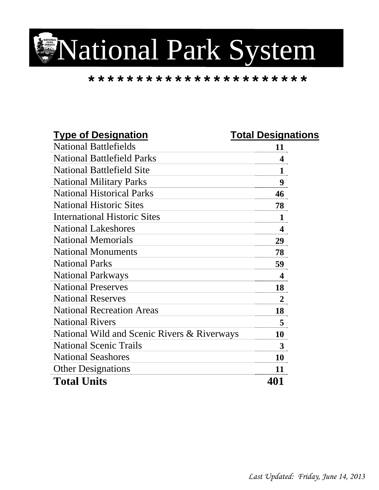

## **\*\*\*\*\*\*\*\*\*\*\*\*\*\*\*\*\*\*\*\*\*\*\***

| <b>Type of Designation</b>                  | <b>Total Designations</b> |
|---------------------------------------------|---------------------------|
| <b>National Battlefields</b>                | 11                        |
| <b>National Battlefield Parks</b>           | 4                         |
| <b>National Battlefield Site</b>            | $\mathbf{1}$              |
| <b>National Military Parks</b>              | 9                         |
| <b>National Historical Parks</b>            | 46                        |
| <b>National Historic Sites</b>              | 78                        |
| <b>International Historic Sites</b>         | $\mathbf{1}$              |
| <b>National Lakeshores</b>                  | $\overline{\mathbf{4}}$   |
| <b>National Memorials</b>                   | 29                        |
| <b>National Monuments</b>                   | 78                        |
| <b>National Parks</b>                       | 59                        |
| <b>National Parkways</b>                    | $\overline{\mathbf{4}}$   |
| <b>National Preserves</b>                   | 18                        |
| <b>National Reserves</b>                    | $\overline{2}$            |
| <b>National Recreation Areas</b>            | 18                        |
| <b>National Rivers</b>                      | 5                         |
| National Wild and Scenic Rivers & Riverways | 10                        |
| <b>National Scenic Trails</b>               | 3                         |
| <b>National Seashores</b>                   | 10                        |
| <b>Other Designations</b>                   | 11                        |
| <b>Total Units</b>                          | 401                       |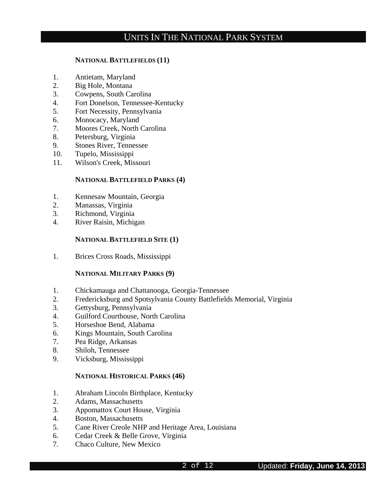#### **NATIONAL BATTLEFIELDS (11)**

- 1. Antietam, Maryland
- 2. Big Hole, Montana
- 3. Cowpens, South Carolina
- 4. Fort Donelson, Tennessee-Kentucky
- 5. Fort Necessity, Pennsylvania
- 6. Monocacy, Maryland
- 7. Moores Creek, North Carolina
- 8. Petersburg, Virginia
- 9. Stones River, Tennessee
- 10. Tupelo, Mississippi
- 11. Wilson's Creek, Missouri

#### **NATIONAL BATTLEFIELD PARKS (4)**

- 1. Kennesaw Mountain, Georgia
- 2. Manassas, Virginia
- 3. Richmond, Virginia
- 4. River Raisin, Michigan

#### **NATIONAL BATTLEFIELD SITE (1)**

1. Brices Cross Roads, Mississippi

#### **NATIONAL MILITARY PARKS (9)**

- 1. Chickamauga and Chattanooga, Georgia-Tennessee
- 2. Fredericksburg and Spotsylvania County Battlefields Memorial, Virginia
- 3. Gettysburg, Pennsylvania
- 4. Guilford Courthouse, North Carolina
- 5. Horseshoe Bend, Alabama
- 6. Kings Mountain, South Carolina
- 7. Pea Ridge, Arkansas
- 8. Shiloh, Tennessee
- 9. Vicksburg, Mississippi

#### **NATIONAL HISTORICAL PARKS (46)**

- 1. Abraham Lincoln Birthplace, Kentucky
- 2. Adams, Massachusetts
- 3. Appomattox Court House, Virginia
- 4. Boston, Massachusetts
- 5. Cane River Creole NHP and Heritage Area, Louisiana
- 6. Cedar Creek & Belle Grove, Virginia
- 7. Chaco Culture, New Mexico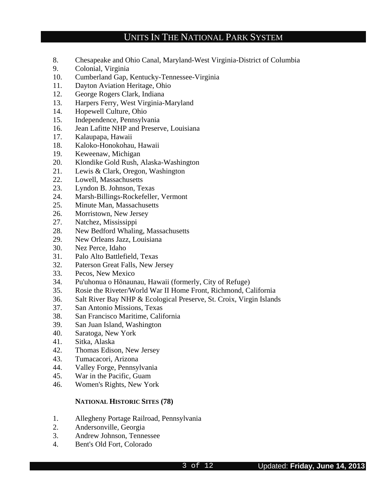- 8. Chesapeake and Ohio Canal, Maryland-West Virginia-District of Columbia
- 9. Colonial, Virginia
- 10. Cumberland Gap, Kentucky-Tennessee-Virginia
- 11. Dayton Aviation Heritage, Ohio
- 12. George Rogers Clark, Indiana
- 13. Harpers Ferry, West Virginia-Maryland
- 14. Hopewell Culture, Ohio
- 15. Independence, Pennsylvania
- 16. Jean Lafitte NHP and Preserve, Louisiana
- 17. Kalaupapa, Hawaii
- 18. Kaloko-Honokohau, Hawaii
- 19. Keweenaw, Michigan
- 20. Klondike Gold Rush, Alaska-Washington
- 21. Lewis & Clark, Oregon, Washington
- 22. Lowell, Massachusetts
- 23. Lyndon B. Johnson, Texas
- 24. Marsh-Billings-Rockefeller, Vermont
- 25. Minute Man, Massachusetts
- 26. Morristown, New Jersey
- 27. Natchez, Mississippi
- 28. New Bedford Whaling, Massachusetts
- 29. New Orleans Jazz, Louisiana
- 30. Nez Perce, Idaho
- 31. Palo Alto Battlefield, Texas
- 32. Paterson Great Falls, New Jersey
- 33. Pecos, New Mexico
- 34. Pu'uhonua o Hōnaunau, Hawaii (formerly, City of Refuge)
- 35. Rosie the Riveter/World War II Home Front, Richmond, California
- 36. Salt River Bay NHP & Ecological Preserve, St. Croix, Virgin Islands
- 37. San Antonio Missions, Texas
- 38. San Francisco Maritime, California
- 39. San Juan Island, Washington
- 40. Saratoga, New York
- 41. Sitka, Alaska
- 42. Thomas Edison, New Jersey
- 43. Tumacacori, Arizona
- 44. Valley Forge, Pennsylvania
- 45. War in the Pacific, Guam
- 46. Women's Rights, New York

#### **NATIONAL HISTORIC SITES (78)**

- 1. Allegheny Portage Railroad, Pennsylvania
- 2. Andersonville, Georgia
- 3. Andrew Johnson, Tennessee
- 4. Bent's Old Fort, Colorado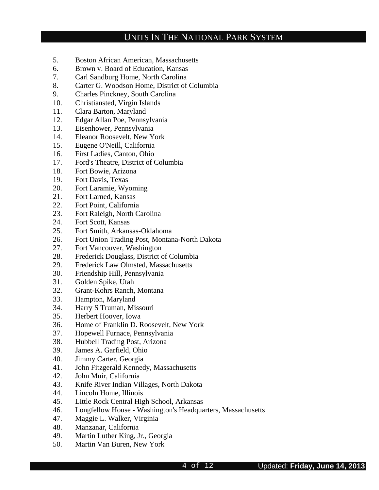- 5. Boston African American, Massachusetts
- 6. Brown v. Board of Education, Kansas
- 7. Carl Sandburg Home, North Carolina
- 8. Carter G. Woodson Home, District of Columbia
- 9. Charles Pinckney, South Carolina
- 10. Christiansted, Virgin Islands
- 11. Clara Barton, Maryland
- 12. Edgar Allan Poe, Pennsylvania
- 13. Eisenhower, Pennsylvania
- 14. Eleanor Roosevelt, New York
- 15. Eugene O'Neill, California
- 16. First Ladies, Canton, Ohio
- 17. Ford's Theatre, District of Columbia
- 18. Fort Bowie, Arizona
- 19. Fort Davis, Texas
- 20. Fort Laramie, Wyoming
- 21. Fort Larned, Kansas
- 22. Fort Point, California
- 23. Fort Raleigh, North Carolina
- 24. Fort Scott, Kansas
- 25. Fort Smith, Arkansas-Oklahoma
- 26. Fort Union Trading Post, Montana-North Dakota
- 27. Fort Vancouver, Washington
- 28. Frederick Douglass, District of Columbia
- 29. Frederick Law Olmsted, Massachusetts
- 30. Friendship Hill, Pennsylvania
- 31. Golden Spike, Utah
- 32. Grant-Kohrs Ranch, Montana
- 33. Hampton, Maryland
- 34. Harry S Truman, Missouri
- 35. Herbert Hoover, Iowa
- 36. Home of Franklin D. Roosevelt, New York
- 37. Hopewell Furnace, Pennsylvania
- 38. Hubbell Trading Post, Arizona
- 39. James A. Garfield, Ohio
- 40. Jimmy Carter, Georgia
- 41. John Fitzgerald Kennedy, Massachusetts
- 42. John Muir, California
- 43. Knife River Indian Villages, North Dakota
- 44. Lincoln Home, Illinois
- 45. Little Rock Central High School, Arkansas
- 46. Longfellow House Washington's Headquarters, Massachusetts
- 47. Maggie L. Walker, Virginia
- 48. Manzanar, California
- 49. Martin Luther King, Jr., Georgia
- 50. Martin Van Buren, New York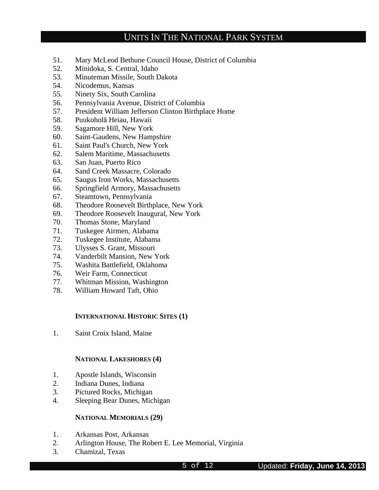- 51. Mary McLeod Bethune Council House, District of Columbia
- 52. Minidoka, S. Central, Idaho
- 53. Minuteman Missile, South Dakota
- 54. Nicodemus, Kansas
- 55. Ninety Six, South Carolina
- 56. Pennsylvania Avenue, District of Columbia
- 57. President William Jefferson Clinton Birthplace Home
- 58. Puukoholā Heiau, Hawaii
- 59. Sagamore Hill, New York
- 60. Saint-Gaudens, New Hampshire
- 61. Saint Paul's Church, New York
- 62. Salem Maritime, Massachusetts
- 63. San Juan, Puerto Rico
- 64. Sand Creek Massacre, Colorado
- 65. Saugus Iron Works, Massachusetts
- 66. Springfield Armory, Massachusetts
- 67. Steamtown, Pennsylvania
- 68. Theodore Roosevelt Birthplace, New York
- 69. Theodore Roosevelt Inaugural, New York
- 70. Thomas Stone, Maryland
- 71. Tuskegee Airmen, Alabama
- 72. Tuskegee Institute, Alabama
- 73. Ulysses S. Grant, Missouri
- 74. Vanderbilt Mansion, New York
- 75. Washita Battlefield, Oklahoma
- 76. Weir Farm, Connecticut
- 77. Whitman Mission, Washington
- 78. William Howard Taft, Ohio

#### **INTERNATIONAL HISTORIC SITES (1)**

1. Saint Croix Island, Maine

#### **NATIONAL LAKESHORES (4)**

- 1. Apostle Islands, Wisconsin
- 2. Indiana Dunes, Indiana
- 3. Pictured Rocks, Michigan
- 4. Sleeping Bear Dunes, Michigan

#### **NATIONAL MEMORIALS (29)**

- 1. Arkansas Post, Arkansas
- 2. Arlington House, The Robert E. Lee Memorial, Virginia
- 3. Chamizal, Texas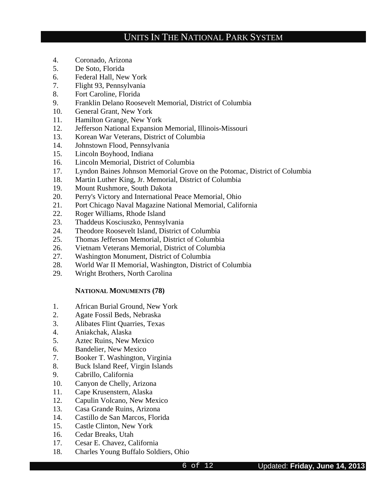- 4. Coronado, Arizona
- 5. De Soto, Florida
- 6. Federal Hall, New York
- 7. Flight 93, Pennsylvania
- 8. Fort Caroline, Florida
- 9. Franklin Delano Roosevelt Memorial, District of Columbia
- 10. General Grant, New York
- 11. Hamilton Grange, New York
- 12. Jefferson National Expansion Memorial, Illinois-Missouri
- 13. Korean War Veterans, District of Columbia
- 14. Johnstown Flood, Pennsylvania
- 15. Lincoln Boyhood, Indiana
- 16. Lincoln Memorial, District of Columbia
- 17. Lyndon Baines Johnson Memorial Grove on the Potomac, District of Columbia
- 18. Martin Luther King, Jr. Memorial, District of Columbia
- 19. Mount Rushmore, South Dakota
- 20. Perry's Victory and International Peace Memorial, Ohio
- 21. Port Chicago Naval Magazine National Memorial, California
- 22. Roger Williams, Rhode Island
- 23. Thaddeus Kosciuszko, Pennsylvania
- 24. Theodore Roosevelt Island, District of Columbia
- 25. Thomas Jefferson Memorial, District of Columbia
- 26. Vietnam Veterans Memorial, District of Columbia
- 27. Washington Monument, District of Columbia
- 28. World War II Memorial, Washington, District of Columbia
- 29. Wright Brothers, North Carolina

#### **NATIONAL MONUMENTS (78)**

- 1. African Burial Ground, New York
- 2. Agate Fossil Beds, Nebraska
- 3. Alibates Flint Quarries, Texas
- 4. Aniakchak, Alaska
- 5. Aztec Ruins, New Mexico
- 6. Bandelier, New Mexico
- 7. Booker T. Washington, Virginia
- 8. Buck Island Reef, Virgin Islands
- 9. Cabrillo, California
- 10. Canyon de Chelly, Arizona
- 11. Cape Krusenstern, Alaska
- 12. Capulin Volcano, New Mexico
- 13. Casa Grande Ruins, Arizona
- 14. Castillo de San Marcos, Florida
- 15. Castle Clinton, New York
- 16. Cedar Breaks, Utah
- 17. Cesar E. Chavez, California
- 18. Charles Young Buffalo Soldiers, Ohio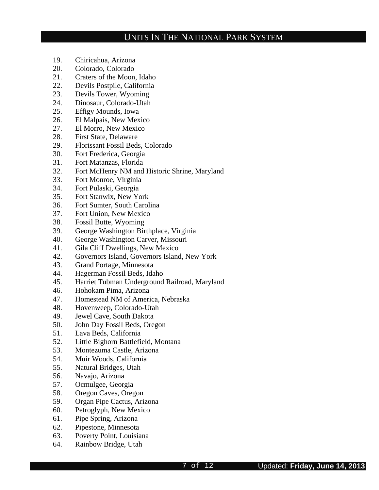- 19. Chiricahua, Arizona
- 20. Colorado, Colorado
- 21. Craters of the Moon, Idaho
- 22. Devils Postpile, California
- 23. Devils Tower, Wyoming
- 24. Dinosaur, Colorado-Utah
- 25. Effigy Mounds, Iowa
- 26. El Malpais, New Mexico
- 27. El Morro, New Mexico
- 28. First State, Delaware
- 29. Florissant Fossil Beds, Colorado
- 30. Fort Frederica, Georgia
- 31. Fort Matanzas, Florida
- 32. Fort McHenry NM and Historic Shrine, Maryland
- 33. Fort Monroe, Virginia
- 34. Fort Pulaski, Georgia
- 35. Fort Stanwix, New York
- 36. Fort Sumter, South Carolina
- 37. Fort Union, New Mexico
- 38. Fossil Butte, Wyoming
- 39. George Washington Birthplace, Virginia
- 40. George Washington Carver, Missouri
- 41. Gila Cliff Dwellings, New Mexico
- 42. Governors Island, Governors Island, New York
- 43. Grand Portage, Minnesota
- 44. Hagerman Fossil Beds, Idaho
- 45. Harriet Tubman Underground Railroad, Maryland
- 46. Hohokam Pima, Arizona
- 47. Homestead NM of America, Nebraska
- 48. Hovenweep, Colorado-Utah
- 49. Jewel Cave, South Dakota
- 50. John Day Fossil Beds, Oregon
- 51. Lava Beds, California
- 52. Little Bighorn Battlefield, Montana
- 53. Montezuma Castle, Arizona
- 54. Muir Woods, California
- 55. Natural Bridges, Utah
- 56. Navajo, Arizona
- 57. Ocmulgee, Georgia
- 58. Oregon Caves, Oregon
- 59. Organ Pipe Cactus, Arizona
- 60. Petroglyph, New Mexico
- 61. Pipe Spring, Arizona
- 62. Pipestone, Minnesota
- 63. Poverty Point, Louisiana
- 64. Rainbow Bridge, Utah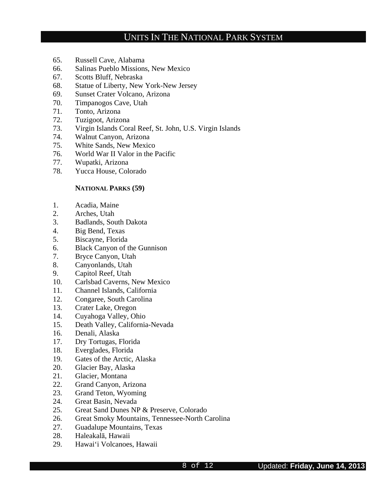- 65. Russell Cave, Alabama
- 66. Salinas Pueblo Missions, New Mexico
- 67. Scotts Bluff, Nebraska
- 68. Statue of Liberty, New York-New Jersey
- 69. Sunset Crater Volcano, Arizona
- 70. Timpanogos Cave, Utah
- 71. Tonto, Arizona
- 72. Tuzigoot, Arizona
- 73. Virgin Islands Coral Reef, St. John, U.S. Virgin Islands
- 74. Walnut Canyon, Arizona
- 75. White Sands, New Mexico
- 76. World War II Valor in the Pacific
- 77. Wupatki, Arizona
- 78. Yucca House, Colorado

#### **NATIONAL PARKS (59)**

- 1. Acadia, Maine
- 2. Arches, Utah
- 3. Badlands, South Dakota
- 4. Big Bend, Texas
- 5. Biscayne, Florida
- 6. Black Canyon of the Gunnison
- 7. Bryce Canyon, Utah
- 8. Canyonlands, Utah
- 9. Capitol Reef, Utah
- 10. Carlsbad Caverns, New Mexico
- 11. Channel Islands, California
- 12. Congaree, South Carolina
- 13. Crater Lake, Oregon
- 14. Cuyahoga Valley, Ohio
- 15. Death Valley, California-Nevada
- 16. Denali, Alaska
- 17. Dry Tortugas, Florida
- 18. Everglades, Florida
- 19. Gates of the Arctic, Alaska
- 20. Glacier Bay, Alaska
- 21. Glacier, Montana
- 22. Grand Canyon, Arizona
- 23. Grand Teton, Wyoming
- 24. Great Basin, Nevada
- 25. Great Sand Dunes NP & Preserve, Colorado
- 26. Great Smoky Mountains, Tennessee-North Carolina
- 27. Guadalupe Mountains, Texas
- 28. Haleakalā, Hawaii
- 29. Hawai'i Volcanoes, Hawaii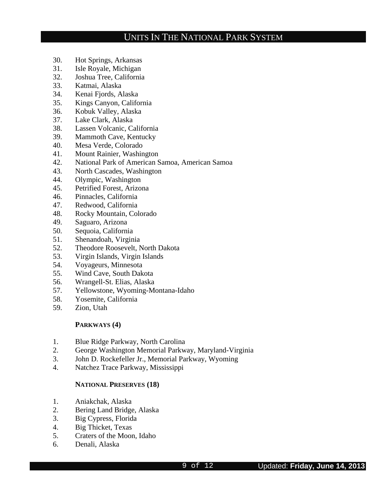- 30. Hot Springs, Arkansas
- 31. Isle Royale, Michigan
- 32. Joshua Tree, California
- 33. Katmai, Alaska
- 34. Kenai Fjords, Alaska
- 35. Kings Canyon, California
- 36. Kobuk Valley, Alaska
- 37. Lake Clark, Alaska
- 38. Lassen Volcanic, California
- 39. Mammoth Cave, Kentucky
- 40. Mesa Verde, Colorado
- 41. Mount Rainier, Washington
- 42. National Park of American Samoa, American Samoa
- 43. North Cascades, Washington
- 44. Olympic, Washington
- 45. Petrified Forest, Arizona
- 46. Pinnacles, California
- 47. Redwood, California
- 48. Rocky Mountain, Colorado
- 49. Saguaro, Arizona
- 50. Sequoia, California
- 51. Shenandoah, Virginia
- 52. Theodore Roosevelt, North Dakota
- 53. Virgin Islands, Virgin Islands
- 54. Voyageurs, Minnesota
- 55. Wind Cave, South Dakota
- 56. Wrangell-St. Elias, Alaska
- 57. Yellowstone, Wyoming-Montana-Idaho
- 58. Yosemite, California
- 59. Zion, Utah

#### **PARKWAYS (4)**

- 1. Blue Ridge Parkway, North Carolina
- 2. George Washington Memorial Parkway, Maryland-Virginia
- 3. John D. Rockefeller Jr., Memorial Parkway, Wyoming
- 4. Natchez Trace Parkway, Mississippi

#### **NATIONAL PRESERVES (18)**

- 1. Aniakchak, Alaska
- 2. Bering Land Bridge, Alaska
- 3. Big Cypress, Florida
- 4. Big Thicket, Texas
- 5. Craters of the Moon, Idaho
- 6. Denali, Alaska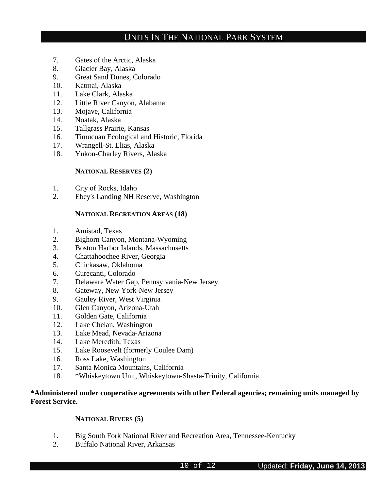- 7. Gates of the Arctic, Alaska
- 8. Glacier Bay, Alaska
- 9. Great Sand Dunes, Colorado
- 10. Katmai, Alaska
- 11. Lake Clark, Alaska
- 12. Little River Canyon, Alabama
- 13. Mojave, California
- 14. Noatak, Alaska
- 15. Tallgrass Prairie, Kansas
- 16. Timucuan Ecological and Historic, Florida
- 17. Wrangell-St. Elias, Alaska
- 18. Yukon-Charley Rivers, Alaska

### **NATIONAL RESERVES (2)**

- 1. City of Rocks, Idaho
- 2. Ebey's Landing NH Reserve, Washington

### **NATIONAL RECREATION AREAS (18)**

- 1. Amistad, Texas
- 2. Bighorn Canyon, Montana-Wyoming
- 3. Boston Harbor Islands, Massachusetts
- 4. Chattahoochee River, Georgia
- 5. Chickasaw, Oklahoma
- 6. Curecanti, Colorado
- 7. Delaware Water Gap, Pennsylvania-New Jersey
- 8. Gateway, New York-New Jersey
- 9. Gauley River, West Virginia
- 10. Glen Canyon, Arizona-Utah
- 11. Golden Gate, California
- 12. Lake Chelan, Washington
- 13. Lake Mead, Nevada-Arizona
- 14. Lake Meredith, Texas
- 15. Lake Roosevelt (formerly Coulee Dam)
- 16. Ross Lake, Washington
- 17. Santa Monica Mountains, California
- 18. \*Whiskeytown Unit, Whiskeytown-Shasta-Trinity, California

### **\*Administered under cooperative agreements with other Federal agencies; remaining units managed by Forest Service.**

### **NATIONAL RIVERS (5)**

- 1. Big South Fork National River and Recreation Area, Tennessee-Kentucky
- 2. Buffalo National River, Arkansas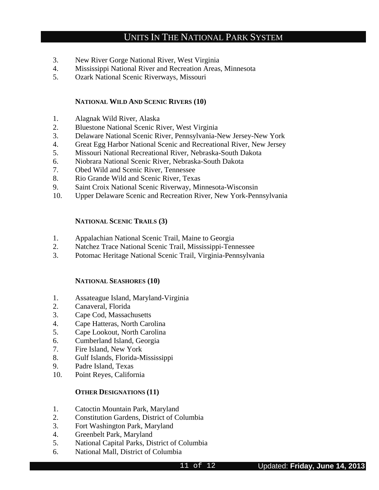- 3. New River Gorge National River, West Virginia
- 4. Mississippi National River and Recreation Areas, Minnesota
- 5. Ozark National Scenic Riverways, Missouri

#### **NATIONAL WILD AND SCENIC RIVERS (10)**

- 1. Alagnak Wild River, Alaska
- 2. Bluestone National Scenic River, West Virginia
- 3. Delaware National Scenic River, Pennsylvania-New Jersey-New York
- 4. Great Egg Harbor National Scenic and Recreational River, New Jersey
- 5. Missouri National Recreational River, Nebraska-South Dakota
- 6. Niobrara National Scenic River, Nebraska-South Dakota
- 7. Obed Wild and Scenic River, Tennessee
- 8. Rio Grande Wild and Scenic River, Texas
- 9. Saint Croix National Scenic Riverway, Minnesota-Wisconsin
- 10. Upper Delaware Scenic and Recreation River, New York-Pennsylvania

### **NATIONAL SCENIC TRAILS (3)**

- 1. Appalachian National Scenic Trail, Maine to Georgia
- 2. Natchez Trace National Scenic Trail, Mississippi-Tennessee
- 3. Potomac Heritage National Scenic Trail, Virginia-Pennsylvania

#### **NATIONAL SEASHORES (10)**

- 1. Assateague Island, Maryland-Virginia
- 2. Canaveral, Florida
- 3. Cape Cod, Massachusetts
- 4. Cape Hatteras, North Carolina
- 5. Cape Lookout, North Carolina
- 6. Cumberland Island, Georgia
- 7. Fire Island, New York
- 8. Gulf Islands, Florida-Mississippi
- 9. Padre Island, Texas
- 10. Point Reyes, California

### **OTHER DESIGNATIONS (11)**

- 1. Catoctin Mountain Park, Maryland
- 2. Constitution Gardens, District of Columbia
- 3. Fort Washington Park, Maryland
- 4. Greenbelt Park, Maryland
- 5. National Capital Parks, District of Columbia
- 6. National Mall, District of Columbia